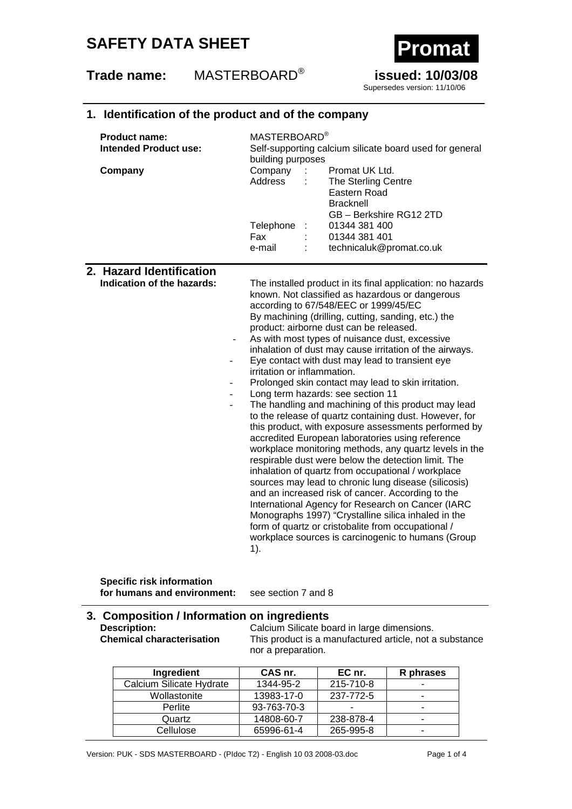## **SAFETY DATA SHEET**

## **Trade name:** MASTERBOARD® **issued: 10/03/08**



Supersedes version: 11/10/06

### **1. Identification of the product and of the company**

| <b>Product name:</b><br>Intended Product use:          | MASTERBOARD <sup>®</sup><br>Self-supporting calcium silicate board used for general<br>building purposes                                                                     |
|--------------------------------------------------------|------------------------------------------------------------------------------------------------------------------------------------------------------------------------------|
| Company                                                | Company : Promat UK Ltd.<br>Address : The Sterling Centre<br>Eastern Road<br><b>Bracknell</b><br>GB - Berkshire RG12 2TD                                                     |
|                                                        | Telephone : 01344 381 400<br>Fax : 01344 381 401                                                                                                                             |
|                                                        | technicaluk@promat.co.uk<br>e-mail<br>÷                                                                                                                                      |
| 2. Hazard Identification<br>Indication of the hazards: | The installed product in its final application: no hazards<br>t de la constituit de la confluencia de la consecuencia de la consecuencia de la consecuencia de la consecuenc |

known. Not classified as hazardous or dangerous according to 67/548/EEC or 1999/45/EC By machining (drilling, cutting, sanding, etc.) the product: airborne dust can be released. As with most types of nuisance dust, excessive inhalation of dust may cause irritation of the airways. Eye contact with dust may lead to transient eye irritation or inflammation. Prolonged skin contact may lead to skin irritation. Long term hazards: see section 11

The handling and machining of this product may lead to the release of quartz containing dust. However, for this product, with exposure assessments performed by accredited European laboratories using reference workplace monitoring methods, any quartz levels in the respirable dust were below the detection limit. The inhalation of quartz from occupational / workplace sources may lead to chronic lung disease (silicosis) and an increased risk of cancer. According to the International Agency for Research on Cancer (IARC Monographs 1997) "Crystalline silica inhaled in the form of quartz or cristobalite from occupational / workplace sources is carcinogenic to humans (Group 1).

**Specific risk information for humans and environment:** see section 7 and 8

# **3. Composition / Information on ingredients**

**Description:** Calcium Silicate board in large dimensions.<br> **Chemical characterisation** This product is a manufactured article, not a This product is a manufactured article, not a substance nor a preparation.

| Ingredient               | CAS nr.     | EC nr.    | R phrases                |
|--------------------------|-------------|-----------|--------------------------|
| Calcium Silicate Hydrate | 1344-95-2   | 215-710-8 | $\overline{\phantom{0}}$ |
| Wollastonite             | 13983-17-0  | 237-772-5 | -                        |
| Perlite                  | 93-763-70-3 | -         | $\overline{\phantom{0}}$ |
| Quartz                   | 14808-60-7  | 238-878-4 | $\overline{\phantom{0}}$ |
| Cellulose                | 65996-61-4  | 265-995-8 | -                        |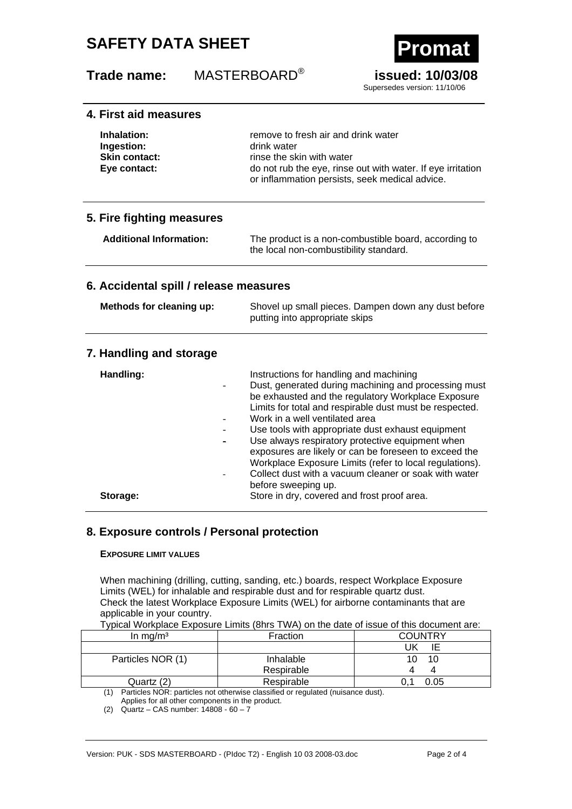# **SAFETY DATA SHEET**

## **Trade name:** MASTERBOARD® **issued: 10/03/08**



Supersedes version: 11/10/06

## **4. First aid measures**

| Inhalation:          | remove to fresh air and drink water                         |  |
|----------------------|-------------------------------------------------------------|--|
| Ingestion:           | drink water                                                 |  |
| <b>Skin contact:</b> | rinse the skin with water                                   |  |
| Eye contact:         | do not rub the eye, rinse out with water. If eye irritation |  |
|                      | or inflammation persists, seek medical advice.              |  |

### **5. Fire fighting measures**

**Additional Information:** The product is a non-combustible board, according to the local non-combustibility standard.

### **6. Accidental spill / release measures**

| Methods for cleaning up: | Shovel up small pieces. Dampen down any dust before |
|--------------------------|-----------------------------------------------------|
|                          | putting into appropriate skips                      |

### **7. Handling and storage**

| Handling: | Instructions for handling and machining<br>Dust, generated during machining and processing must<br>be exhausted and the regulatory Workplace Exposure<br>Limits for total and respirable dust must be respected.<br>Work in a well ventilated area<br>Use tools with appropriate dust exhaust equipment<br>Use always respiratory protective equipment when<br>exposures are likely or can be foreseen to exceed the<br>Workplace Exposure Limits (refer to local regulations).<br>Collect dust with a vacuum cleaner or soak with water<br>before sweeping up. |
|-----------|-----------------------------------------------------------------------------------------------------------------------------------------------------------------------------------------------------------------------------------------------------------------------------------------------------------------------------------------------------------------------------------------------------------------------------------------------------------------------------------------------------------------------------------------------------------------|
| Storage:  | Store in dry, covered and frost proof area.                                                                                                                                                                                                                                                                                                                                                                                                                                                                                                                     |

### **8. Exposure controls / Personal protection**

#### **EXPOSURE LIMIT VALUES**

When machining (drilling, cutting, sanding, etc.) boards, respect Workplace Exposure Limits (WEL) for inhalable and respirable dust and for respirable quartz dust. Check the latest Workplace Exposure Limits (WEL) for airborne contaminants that are applicable in your country.

|  | Typical Workplace Exposure Limits (8hrs TWA) on the date of issue of this document are: |
|--|-----------------------------------------------------------------------------------------|
|--|-----------------------------------------------------------------------------------------|

| In mg/m <sup>3</sup>                                                                                                                                                                                                               | Fraction   | <b>COUNTRY</b> |
|------------------------------------------------------------------------------------------------------------------------------------------------------------------------------------------------------------------------------------|------------|----------------|
|                                                                                                                                                                                                                                    |            | JK             |
| Particles NOR (1)                                                                                                                                                                                                                  | Inhalable  | 10             |
|                                                                                                                                                                                                                                    | Respirable |                |
| Quartz (2)                                                                                                                                                                                                                         | Respirable | 0.05           |
| $\overline{a}$ is the set of the set of the set of the set of the set of the set of the set of the set of the set of the set of the set of the set of the set of the set of the set of the set of the set of the set of the set of |            |                |

(1) Particles NOR: particles not otherwise classified or regulated (nuisance dust).

Applies for all other components in the product.

<sup>(2)</sup> Quartz – CAS number: 14808 - 60 – 7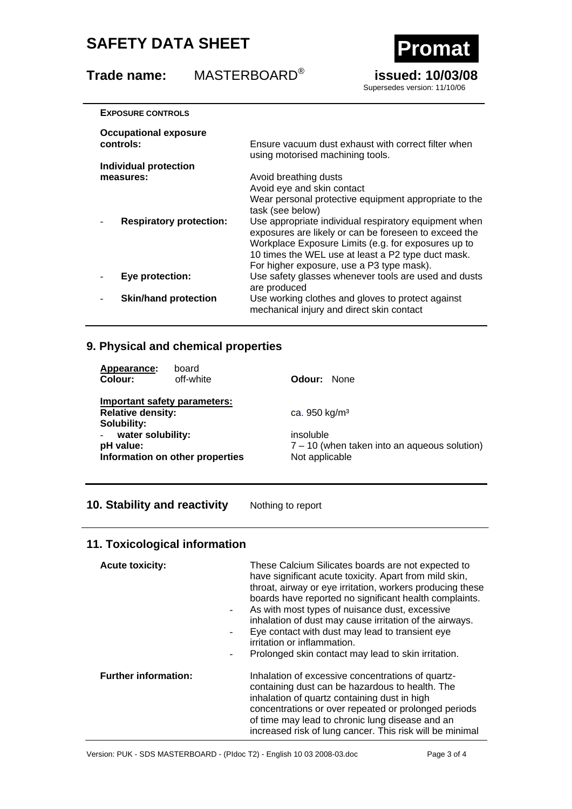# **SAFETY DATA SHEET Promat**

**Trade name:** MASTERBOARD® **issued: 10/03/08** 



Supersedes version: 11/10/06

| <b>EXPOSURE CONTROLS</b>                    |                                                                                                                                                                                                                                                                                                                                                                 |
|---------------------------------------------|-----------------------------------------------------------------------------------------------------------------------------------------------------------------------------------------------------------------------------------------------------------------------------------------------------------------------------------------------------------------|
| <b>Occupational exposure</b><br>controls:   | Ensure vacuum dust exhaust with correct filter when<br>using motorised machining tools.                                                                                                                                                                                                                                                                         |
| Individual protection                       |                                                                                                                                                                                                                                                                                                                                                                 |
| measures:<br><b>Respiratory protection:</b> | Avoid breathing dusts<br>Avoid eye and skin contact<br>Wear personal protective equipment appropriate to the<br>task (see below)<br>Use appropriate individual respiratory equipment when<br>exposures are likely or can be foreseen to exceed the<br>Workplace Exposure Limits (e.g. for exposures up to<br>10 times the WEL use at least a P2 type duct mask. |
| Eye protection:                             | For higher exposure, use a P3 type mask).<br>Use safety glasses whenever tools are used and dusts<br>are produced                                                                                                                                                                                                                                               |
| <b>Skin/hand protection</b>                 | Use working clothes and gloves to protect against<br>mechanical injury and direct skin contact                                                                                                                                                                                                                                                                  |
|                                             |                                                                                                                                                                                                                                                                                                                                                                 |

## **9. Physical and chemical properties**

| Appearance:<br>Colour:                                                  | board<br>off-white              | <b>Odour:</b> None                                                            |
|-------------------------------------------------------------------------|---------------------------------|-------------------------------------------------------------------------------|
| Important safety parameters:<br><b>Relative density:</b><br>Solubility: |                                 | ca. 950 $kg/m3$                                                               |
| water solubility:<br>pH value:                                          | Information on other properties | insoluble<br>$7 - 10$ (when taken into an aqueous solution)<br>Not applicable |

## **10. Stability and reactivity** Nothing to report

## **11. Toxicological information**

| <b>Acute toxicity:</b>      | These Calcium Silicates boards are not expected to<br>have significant acute toxicity. Apart from mild skin,<br>throat, airway or eye irritation, workers producing these<br>boards have reported no significant health complaints.<br>As with most types of nuisance dust, excessive<br>inhalation of dust may cause irritation of the airways.<br>Eye contact with dust may lead to transient eye<br>irritation or inflammation.<br>Prolonged skin contact may lead to skin irritation.<br>- |
|-----------------------------|------------------------------------------------------------------------------------------------------------------------------------------------------------------------------------------------------------------------------------------------------------------------------------------------------------------------------------------------------------------------------------------------------------------------------------------------------------------------------------------------|
| <b>Further information:</b> | Inhalation of excessive concentrations of quartz-<br>containing dust can be hazardous to health. The<br>inhalation of quartz containing dust in high<br>concentrations or over repeated or prolonged periods<br>of time may lead to chronic lung disease and an<br>increased risk of lung cancer. This risk will be minimal                                                                                                                                                                    |